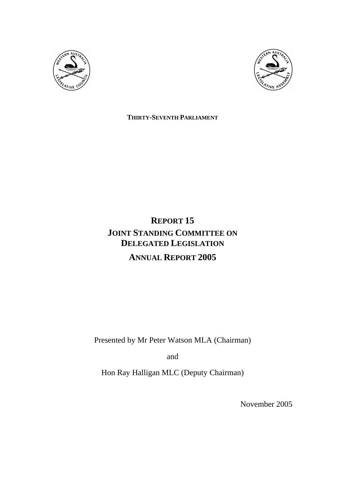



**THIRTY-SEVENTH PARLIAMENT**

# **REPORT 15 JOINT STANDING COMMITTEE ON DELEGATED LEGISLATION ANNUAL REPORT 2005**

Presented by Mr Peter Watson MLA (Chairman)

and

Hon Ray Halligan MLC (Deputy Chairman)

November 2005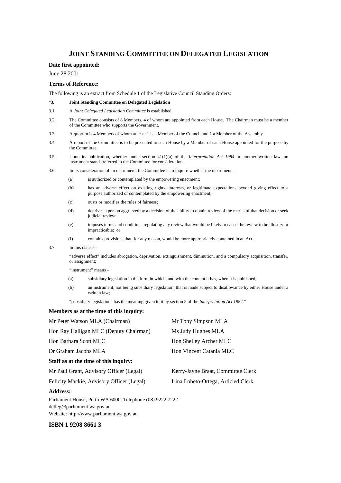## **JOINT STANDING COMMITTEE ON DELEGATED LEGISLATION**

#### **Date first appointed:**

June 28 2001

#### **Terms of Reference:**

The following is an extract from Schedule 1 of the Legislative Council Standing Orders:

- "**3. Joint Standing Committee on Delegated Legislation**
- 3.1 A *Joint Delegated Legislation Committee* is established.
- 3.2 The Committee consists of 8 Members, 4 of whom are appointed from each House. The Chairman must be a member of the Committee who supports the Government.
- 3.3 A quorum is 4 Members of whom at least 1 is a Member of the Council and 1 a Member of the Assembly.
- 3.4 A report of the Committee is to be presented to each House by a Member of each House appointed for the purpose by the Committee.
- 3.5 Upon its publication, whether under section 41(1)(a) of the *Interpretation Act 1984* or another written law, an instrument stands referred to the Committee for consideration.
- 3.6 In its consideration of an instrument, the Committee is to inquire whether the instrument
	- (a) is authorized or contemplated by the empowering enactment;
	- (b) has an adverse effect on existing rights, interests, or legitimate expectations beyond giving effect to a purpose authorized or contemplated by the empowering enactment;
	- (c) ousts or modifies the rules of fairness;
	- (d) deprives a person aggrieved by a decision of the ability to obtain review of the merits of that decision or seek judicial review;
	- (e) imposes terms and conditions regulating any review that would be likely to cause the review to be illusory or impracticable; or
	- (f) contains provisions that, for any reason, would be more appropriately contained in an Act.
- 3.7 In this clause –

 "adverse effect" includes abrogation, deprivation, extinguishment, diminution, and a compulsory acquisition, transfer, or assignment;

"instrument" means –

- (a) subsidiary legislation in the form in which, and with the content it has, when it is published;
- (b) an instrument, not being subsidiary legislation, that is made subject to disallowance by either House under a written law:

"subsidiary legislation" has the meaning given to it by section 5 of the *Interpretation Act 1984*."

#### **Members as at the time of this inquiry:**

| Mr Peter Watson MLA (Chairman)            | Mr Tony Simpson MLA                 |
|-------------------------------------------|-------------------------------------|
| Hon Ray Halligan MLC (Deputy Chairman)    | Ms Judy Hughes MLA                  |
| Hon Barbara Scott MLC                     | Hon Shelley Archer MLC              |
| Dr Graham Jacobs MLA                      | Hon Vincent Catania MLC             |
| Staff as at the time of this inquiry:     |                                     |
| Mr Paul Grant, Advisory Officer (Legal)   | Kerry-Jayne Braat, Committee Clerk  |
| Felicity Mackie, Advisory Officer (Legal) | Irina Lobeto-Ortega, Articled Clerk |
| Address.                                  |                                     |

**Address:** 

Parliament House, Perth WA 6000, Telephone (08) 9222 7222 delleg@parliament.wa.gov.au Website: http://www.parliament.wa.gov.au

#### **ISBN 1 9208 8661 3**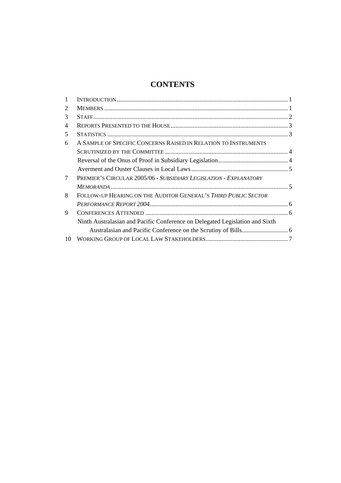## **CONTENTS**

| $\mathbf{1}$   |                                                                              |  |
|----------------|------------------------------------------------------------------------------|--|
| 2              |                                                                              |  |
| 3              |                                                                              |  |
| $\overline{4}$ |                                                                              |  |
| 5              |                                                                              |  |
| 6              | A SAMPLE OF SPECIFIC CONCERNS RAISED IN RELATION TO INSTRUMENTS              |  |
|                |                                                                              |  |
|                |                                                                              |  |
|                |                                                                              |  |
| 7              | PREMIER'S CIRCULAR 2005/06 - SUBSIDIARY LEGISLATION - EXPLANATORY            |  |
|                |                                                                              |  |
| 8              | FOLLOW-UP HEARING ON THE AUDITOR GENERAL'S THIRD PUBLIC SECTOR               |  |
|                |                                                                              |  |
| 9              |                                                                              |  |
|                | Ninth Australasian and Pacific Conference on Delegated Legislation and Sixth |  |
|                |                                                                              |  |
| 10             |                                                                              |  |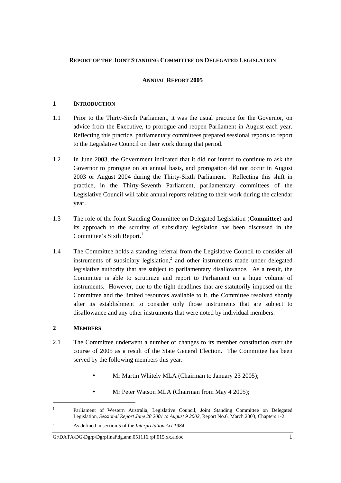## **REPORT OF THE JOINT STANDING COMMITTEE ON DELEGATED LEGISLATION**

#### **ANNUAL REPORT 2005**

#### **1 INTRODUCTION**

- 1.1 Prior to the Thirty-Sixth Parliament, it was the usual practice for the Governor, on advice from the Executive, to prorogue and reopen Parliament in August each year. Reflecting this practice, parliamentary committees prepared sessional reports to report to the Legislative Council on their work during that period.
- 1.2 In June 2003, the Government indicated that it did not intend to continue to ask the Governor to prorogue on an annual basis, and prorogation did not occur in August 2003 or August 2004 during the Thirty-Sixth Parliament. Reflecting this shift in practice, in the Thirty-Seventh Parliament, parliamentary committees of the Legislative Council will table annual reports relating to their work during the calendar year.
- 1.3 The role of the Joint Standing Committee on Delegated Legislation (**Committee**) and its approach to the scrutiny of subsidiary legislation has been discussed in the Committee's Sixth Report.<sup>1</sup>
- 1.4 The Committee holds a standing referral from the Legislative Council to consider all instruments of subsidiary legislation,<sup>2</sup> and other instruments made under delegated legislative authority that are subject to parliamentary disallowance. As a result, the Committee is able to scrutinize and report to Parliament on a huge volume of instruments. However, due to the tight deadlines that are statutorily imposed on the Committee and the limited resources available to it, the Committee resolved shortly after its establishment to consider only those instruments that are subject to disallowance and any other instruments that were noted by individual members.

## **2 MEMBERS**

 $\overline{a}$ 

- 2.1 The Committee underwent a number of changes to its member constitution over the course of 2005 as a result of the State General Election. The Committee has been served by the following members this year:
	- Mr Martin Whitely MLA (Chairman to January 23 2005);
	- Mr Peter Watson MLA (Chairman from May 4 2005);

#### G:\DATA\DG\Dgrp\Dgrpfinal\dg.ann.051116.rpf.015.xx.a.doc 1

<sup>1</sup> Parliament of Western Australia, Legislative Council, Joint Standing Committee on Delegated Legislation, *Sessional Report June 28 2001 to August 9 2002,* Report No.6, March 2003, Chapters 1-2.

 $\overline{2}$ As defined in section 5 of the *Interpretation Act 1984*.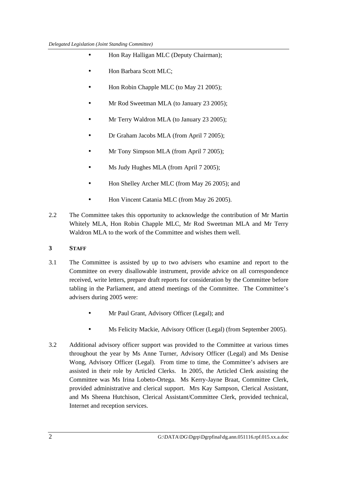- Hon Ray Halligan MLC (Deputy Chairman);
- Hon Barbara Scott MLC;
- Hon Robin Chapple MLC (to May 21 2005);
- Mr Rod Sweetman MLA (to January 23 2005);
- Mr Terry Waldron MLA (to January 23 2005);
- Dr Graham Jacobs MLA (from April 7 2005);
- Mr Tony Simpson MLA (from April 7 2005);
- Ms Judy Hughes MLA (from April 7 2005):
- Hon Shelley Archer MLC (from May 26 2005); and
- Hon Vincent Catania MLC (from May 26 2005).
- 2.2 The Committee takes this opportunity to acknowledge the contribution of Mr Martin Whitely MLA, Hon Robin Chapple MLC, Mr Rod Sweetman MLA and Mr Terry Waldron MLA to the work of the Committee and wishes them well.

## **3 STAFF**

- 3.1 The Committee is assisted by up to two advisers who examine and report to the Committee on every disallowable instrument, provide advice on all correspondence received, write letters, prepare draft reports for consideration by the Committee before tabling in the Parliament, and attend meetings of the Committee. The Committee's advisers during 2005 were:
	- Mr Paul Grant, Advisory Officer (Legal); and
	- Ms Felicity Mackie, Advisory Officer (Legal) (from September 2005).
- 3.2 Additional advisory officer support was provided to the Committee at various times throughout the year by Ms Anne Turner, Advisory Officer (Legal) and Ms Denise Wong, Advisory Officer (Legal). From time to time, the Committee's advisers are assisted in their role by Articled Clerks. In 2005, the Articled Clerk assisting the Committee was Ms Irina Lobeto-Ortega. Ms Kerry-Jayne Braat, Committee Clerk, provided administrative and clerical support. Mrs Kay Sampson, Clerical Assistant, and Ms Sheena Hutchison, Clerical Assistant/Committee Clerk, provided technical, Internet and reception services.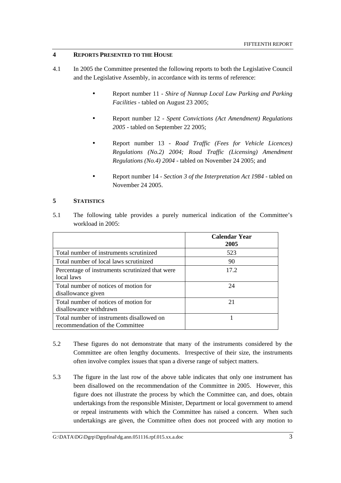## **4 REPORTS PRESENTED TO THE HOUSE**

- 4.1 In 2005 the Committee presented the following reports to both the Legislative Council and the Legislative Assembly, in accordance with its terms of reference:
	- Report number 11 *Shire of Nannup Local Law Parking and Parking Facilities* - tabled on August 23 2005;
	- Report number 12 *Spent Convictions (Act Amendment) Regulations 2005* - tabled on September 22 2005;
	- Report number 13 *Road Traffic (Fees for Vehicle Licences) Regulations (No.2) 2004; Road Traffic (Licensing) Amendment Regulations (No.4) 2004* - tabled on November 24 2005; and
	- Report number 14 *Section 3 of the Interpretation Act 1984*  tabled on November 24 2005.

## **5 STATISTICS**

5.1 The following table provides a purely numerical indication of the Committee's workload in 2005:

|                                                                              | <b>Calendar Year</b><br>2005 |
|------------------------------------------------------------------------------|------------------------------|
| Total number of instruments scrutinized                                      | 523                          |
| Total number of local laws scrutinized                                       | 90                           |
| Percentage of instruments scrutinized that were<br>local laws                | 17.2                         |
| Total number of notices of motion for<br>disallowance given                  | 24                           |
| Total number of notices of motion for<br>disallowance withdrawn              | 21                           |
| Total number of instruments disallowed on<br>recommendation of the Committee |                              |

- 5.2 These figures do not demonstrate that many of the instruments considered by the Committee are often lengthy documents. Irrespective of their size, the instruments often involve complex issues that span a diverse range of subject matters.
- 5.3 The figure in the last row of the above table indicates that only one instrument has been disallowed on the recommendation of the Committee in 2005. However, this figure does not illustrate the process by which the Committee can, and does, obtain undertakings from the responsible Minister, Department or local government to amend or repeal instruments with which the Committee has raised a concern. When such undertakings are given, the Committee often does not proceed with any motion to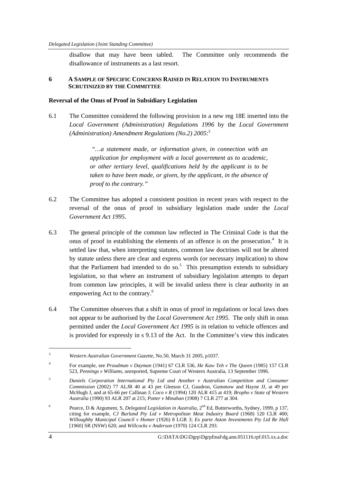disallow that may have been tabled. The Committee only recommends the disallowance of instruments as a last resort.

## **6 A SAMPLE OF SPECIFIC CONCERNS RAISED IN RELATION TO INSTRUMENTS SCRUTINIZED BY THE COMMITTEE**

## **Reversal of the Onus of Proof in Subsidiary Legislation**

6.1 The Committee considered the following provision in a new reg 18E inserted into the *Local Government (Administration) Regulations 1996* by the *Local Government (Administration) Amendment Regulations (No.2) 2005*: 3

> *"…a statement made, or information given, in connection with an application for employment with a local government as to academic, or other tertiary level, qualifications held by the applicant is to be taken to have been made, or given, by the applicant, in the absence of proof to the contrary."*

- 6.2 The Committee has adopted a consistent position in recent years with respect to the reversal of the onus of proof in subsidiary legislation made under the *Local Government Act 1995*.
- 6.3 The general principle of the common law reflected in The Criminal Code is that the onus of proof in establishing the elements of an offence is on the prosecution. $4$  It is settled law that, when interpreting statutes, common law doctrines will not be altered by statute unless there are clear and express words (or necessary implication) to show that the Parliament had intended to do so.<sup>5</sup> This presumption extends to subsidiary legislation, so that where an instrument of subsidiary legislation attempts to depart from common law principles, it will be invalid unless there is clear authority in an empowering Act to the contrary.<sup>6</sup>
- 6.4 The Committee observes that a shift in onus of proof in regulations or local laws does not appear to be authorised by the *Local Government Act 1995*. The only shift in onus permitted under the *Local Government Act 1995* is in relation to vehicle offences and is provided for expressly in s 9.13 of the Act. In the Committee's view this indicates

 $\overline{a}$ 

<sup>3</sup> *Western Australian Government Gazette*, No.50, March 31 2005, p1037.

<sup>4</sup> For example, see *Proudman v Dayman* (1941) 67 CLR 536, *He Kaw Teh v The Queen* (1985) 157 CLR 523, *Pennings v Williams*, unreported, Supreme Court of Western Australia, 13 September 1996.

<sup>5</sup> *Daniels Corporation International Pty Ltd and Another v Australian Competition and Consumer Commission* (2002) 77 ALJR 40 at 43 per Gleeson CJ, Gaudron, Gummow and Hayne JJ, at 49 per McHugh J, and at 65-66 per Callinan J; *Coco v R* (1994) 120 ALR 415 at 419; *Bropho v State of Western Australia* (1990) 93 ALR 207 at 215; *Potter v Minahan* (1908) 7 CLR 277 at 304.

<sup>6</sup> Pearce, D & Argument, S, *Delegated Legislation in Australia*, 2nd Ed, Butterworths, Sydney, 1999, p 137, citing for example, *CJ Burland Pty Ltd v Metropolitan Meat Industry Board* (1968) 120 CLR 400; *Willoughby Municipal Council v Homer* (1926) 8 LGR 3; *Ex parte Aston Investments Pty Ltd Re Hall* [1960] SR (NSW) 620; and *Willcocks v Anderson* (1970) 124 CLR 293.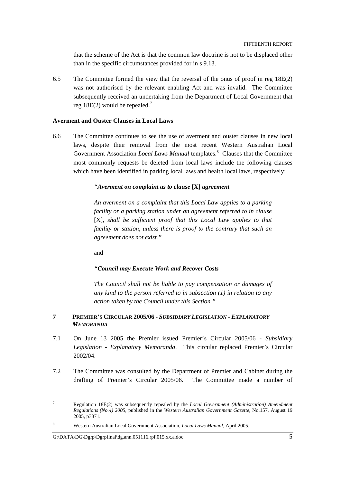that the scheme of the Act is that the common law doctrine is not to be displaced other than in the specific circumstances provided for in s 9.13.

6.5 The Committee formed the view that the reversal of the onus of proof in reg 18E(2) was not authorised by the relevant enabling Act and was invalid. The Committee subsequently received an undertaking from the Department of Local Government that reg 18E(2) would be repealed.<sup>7</sup>

#### **Averment and Ouster Clauses in Local Laws**

6.6 The Committee continues to see the use of averment and ouster clauses in new local laws, despite their removal from the most recent Western Australian Local Government Association *Local Laws Manual* templates.<sup>8</sup> Clauses that the Committee most commonly requests be deleted from local laws include the following clauses which have been identified in parking local laws and health local laws, respectively:

#### *"Averment on complaint as to clause* **[X]** *agreement*

*An averment on a complaint that this Local Law applies to a parking facility or a parking station under an agreement referred to in clause*  [X]*, shall be sufficient proof that this Local Law applies to that facility or station, unless there is proof to the contrary that such an agreement does not exist."* 

and

#### *"Council may Execute Work and Recover Costs*

*The Council shall not be liable to pay compensation or damages of any kind to the person referred to in subsection (1) in relation to any action taken by the Council under this Section."* 

### **7 PREMIER'S CIRCULAR 2005/06 -** *SUBSIDIARY LEGISLATION - EXPLANATORY MEMORANDA*

- 7.1 On June 13 2005 the Premier issued Premier's Circular 2005/06 *Subsidiary Legislation - Explanatory Memoranda*. This circular replaced Premier's Circular 2002/04.
- 7.2 The Committee was consulted by the Department of Premier and Cabinet during the drafting of Premier's Circular 2005/06. The Committee made a number of

 $\overline{a}$ 

<sup>7</sup> Regulation 18E(2) was subsequently repealed by the *Local Government (Administration) Amendment Regulations (No.4) 2005,* published in the *Western Australian Government Gazette,* No.157, August 19 2005, p3871.

<sup>8</sup> Western Australian Local Government Association, *Local Laws Manual*, April 2005.

G:\DATA\DG\Dgrp\Dgrpfinal\dg.ann.051116.rpf.015.xx.a.doc 5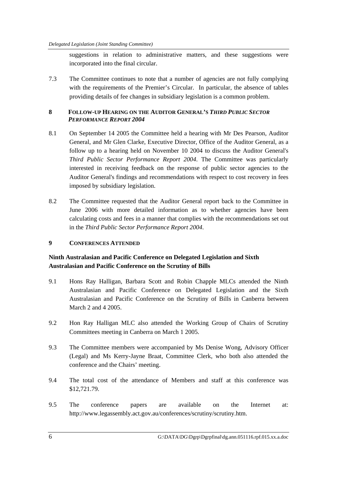suggestions in relation to administrative matters, and these suggestions were incorporated into the final circular.

7.3 The Committee continues to note that a number of agencies are not fully complying with the requirements of the Premier's Circular. In particular, the absence of tables providing details of fee changes in subsidiary legislation is a common problem.

## **8 FOLLOW-UP HEARING ON THE AUDITOR GENERAL'S** *THIRD PUBLIC SECTOR PERFORMANCE REPORT 2004*

- 8.1 On September 14 2005 the Committee held a hearing with Mr Des Pearson, Auditor General, and Mr Glen Clarke, Executive Director, Office of the Auditor General, as a follow up to a hearing held on November 10 2004 to discuss the Auditor General's *Third Public Sector Performance Report 2004*. The Committee was particularly interested in receiving feedback on the response of public sector agencies to the Auditor General's findings and recommendations with respect to cost recovery in fees imposed by subsidiary legislation.
- 8.2 The Committee requested that the Auditor General report back to the Committee in June 2006 with more detailed information as to whether agencies have been calculating costs and fees in a manner that complies with the recommendations set out in the *Third Public Sector Performance Report 2004*.

## **9 CONFERENCES ATTENDED**

## **Ninth Australasian and Pacific Conference on Delegated Legislation and Sixth Australasian and Pacific Conference on the Scrutiny of Bills**

- 9.1 Hons Ray Halligan, Barbara Scott and Robin Chapple MLCs attended the Ninth Australasian and Pacific Conference on Delegated Legislation and the Sixth Australasian and Pacific Conference on the Scrutiny of Bills in Canberra between March 2 and 4 2005.
- 9.2 Hon Ray Halligan MLC also attended the Working Group of Chairs of Scrutiny Committees meeting in Canberra on March 1 2005.
- 9.3 The Committee members were accompanied by Ms Denise Wong, Advisory Officer (Legal) and Ms Kerry-Jayne Braat, Committee Clerk, who both also attended the conference and the Chairs' meeting.
- 9.4 The total cost of the attendance of Members and staff at this conference was \$12,721.79.
- 9.5 The conference papers are available on the Internet at: http://www.legassembly.act.gov.au/conferences/scrutiny/scrutiny.htm.